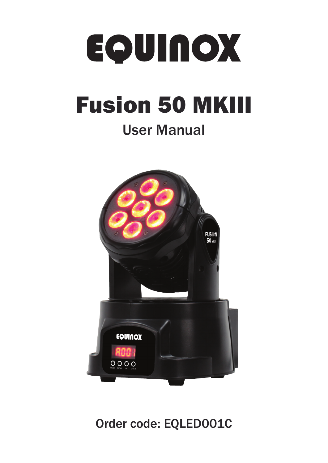# EOUINOX

# Fusion 50 MKIII

### User Manual



### Order code: EQLED001C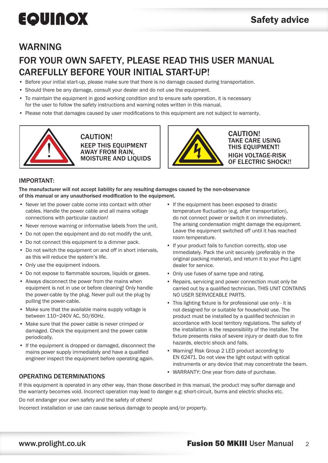### WARNING

### FOR YOUR OWN SAFETY, PLEASE READ THIS USER MANUAL CAREFULLY BEFORE YOUR INITIAL START-UP!

- Before your initial start-up, please make sure that there is no damage caused during transportation.
- Should there be any damage, consult your dealer and do not use the equipment.
- To maintain the equipment in good working condition and to ensure safe operation, it is necessary for the user to follow the safety instructions and warning notes written in this manual.
- Please note that damages caused by user modifications to this equipment are not subject to warranty.



CAUTION! KEEP THIS EQUIPMENT AWAY FROM RAIN, MOISTURE AND LIQUIDS



CAUTION! TAKE CARE USING THIS EQUIPMENT! HIGH VOLTAGE-RISK OF ELECTRIC SHOCK!!

#### IMPORTANT:

The manufacturer will not accept liability for any resulting damages caused by the non-observance of this manual or any unauthorised modification to the equipment.

- Never let the power cable come into contact with other cables. Handle the power cable and all mains voltage connections with particular caution!
- Never remove warning or informative labels from the unit.
- Do not open the equipment and do not modify the unit.
- Do not connect this equipment to a dimmer pack.
- Do not switch the equipment on and off in short intervals, as this will reduce the system's life.
- Only use the equipment indoors.
- Do not expose to flammable sources, liquids or gases.
- Always disconnect the power from the mains when equipment is not in use or before cleaning! Only handle the power-cable by the plug. Never pull out the plug by pulling the power-cable.
- Make sure that the available mains supply voltage is between 110~240V AC, 50/60Hz.
- Make sure that the power cable is never crimped or damaged. Check the equipment and the power cable periodically.
- If the equipment is dropped or damaged, disconnect the mains power supply immediately and have a qualified engineer inspect the equipment before operating again.
- If the equipment has been exposed to drastic temperature fluctuation (e.g. after transportation), do not connect power or switch it on immediately. The arising condensation might damage the equipment. Leave the equipment switched off until it has reached room temperature.
- If your product fails to function correctly, stop use immediately. Pack the unit securely (preferably in the original packing material), and return it to your Pro Light dealer for service.
- Only use fuses of same type and rating.
- Repairs, servicing and power connection must only be carried out by a qualified technician. THIS UNIT CONTAINS NO USER SERVICEABLE PARTS.
- This lighting fixture is for professional use only it is not designed for or suitable for household use. The product must be installed by a qualified technician in accordance with local territory regulations. The safety of the installation is the responsibility of the installer. The fixture presents risks of severe injury or death due to fire hazards, electric shock and falls.
- Warning! Risk Group 2 LED product according to EN 62471. Do not view the light output with optical instruments or any device that may concentrate the beam.
- WARRANTY: One year from date of purchase.

#### OPERATING DETERMINATIONS

If this equipment is operated in any other way, than those described in this manual, the product may suffer damage and the warranty becomes void. Incorrect operation may lead to danger e.g: short-circuit, burns and electric shocks etc. Do not endanger your own safety and the safety of others!

Incorrect installation or use can cause serious damage to people and/or property.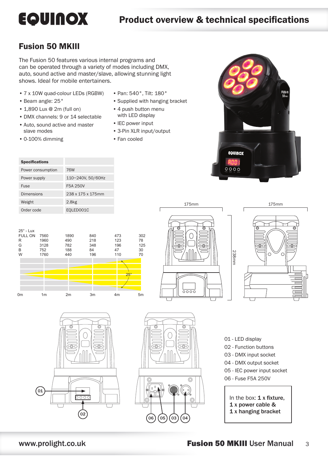**EQUINOX** 

 $0000$ 

### Fusion 50 MKIII

The Fusion 50 features various internal programs and can be operated through a variety of modes including DMX, auto, sound active and master/slave, allowing stunning light shows. Ideal for mobile entertainers.

- 7 x 10W quad-colour LEDs (RGBW)
- Beam angle: 25°
- 1,890 Lux @ 2m (full on)
- DMX channels: 9 or 14 selectable
- Auto, sound active and master slave modes
- 
- Pan: 540°, Tilt: 180°
- Supplied with hanging bracket
- 4 push button menu with LED display
- IEC power input
- 3-Pin XLR input/output
- Fan cooled

| • 0-100% dimming      |                   |  |
|-----------------------|-------------------|--|
| <b>Specifications</b> |                   |  |
| Power consumption     | <b>76W</b>        |  |
| Power supply          | 110~240V, 50/60Hz |  |
| Fuse                  | F5A 250V          |  |
| <b>Dimensions</b>     | 238 x 175 x 175mm |  |
| Weight                | 2.8 <sub>kg</sub> |  |
| Order code            | EQLED001C         |  |











- 01 LED display 02 - Function buttons 03 - DMX input socket
- 04 DMX output socket
- 05 IEC power input socket
- 06 Fuse F5A 250V

#### In the box:  $1 x$  fixture, 1 x power cable &

1 x hanging bracket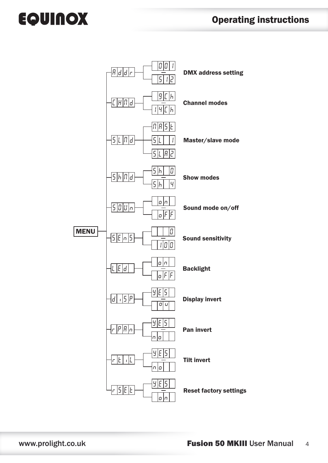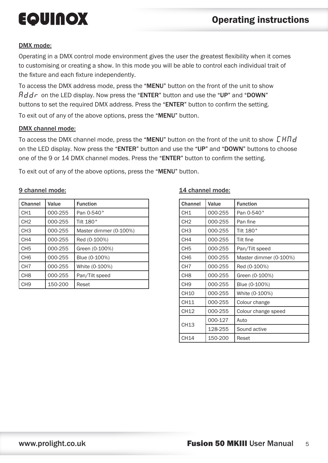#### DMX mode:

Operating in a DMX control mode environment gives the user the greatest flexibility when it comes to customising or creating a show. In this mode you will be able to control each individual trait of the fixture and each fixture independently.

To access the DMX address mode, press the "MENU" button on the front of the unit to show  $H d d r$  on the LED display. Now press the "ENTER" button and use the "UP" and "DOWN" buttons to set the required DMX address. Press the "ENTER" button to confirm the setting.

To exit out of any of the above options, press the "MENU" button.

#### DMX channel mode:

To access the DMX channel mode, press the "MENU" button on the front of the unit to show  $\mathcal{L}H \mathcal{H}d$ on the LED display. Now press the "ENTER" button and use the "UP" and "DOWN" buttons to choose one of the 9 or 14 DMX channel modes. Press the "ENTER" button to confirm the setting.

To exit out of any of the above options, press the "MENU" button.

#### 9 channel mode:

| <b>Channel</b>  | Value   | <b>Function</b>        |
|-----------------|---------|------------------------|
| CH <sub>1</sub> | 000-255 | Pan 0-540°             |
| CH <sub>2</sub> | 000-255 | Tilt 180°              |
| CH <sub>3</sub> | 000-255 | Master dimmer (0-100%) |
| CH <sub>4</sub> | 000-255 | Red (0-100%)           |
| CH <sub>5</sub> | 000-255 | Green (0-100%)         |
| CH <sub>6</sub> | 000-255 | Blue (0-100%)          |
| CH <sub>7</sub> | 000-255 | White (0-100%)         |
| CH <sub>8</sub> | 000-255 | Pan/Tilt speed         |
| CH <sub>9</sub> | 150-200 | Reset                  |

#### 14 channel mode:

| Channel         | Value   | <b>Function</b>        |
|-----------------|---------|------------------------|
| CH1             | 000-255 | Pan 0-540°             |
| CH <sub>2</sub> | 000-255 | Pan fine               |
| CH3             | 000-255 | Tilt 180°              |
| CH4             | 000-255 | Tilt fine              |
| CH <sub>5</sub> | 000-255 | Pan/Tilt speed         |
| CH <sub>6</sub> | 000-255 | Master dimmer (0-100%) |
| CH <sub>7</sub> | 000-255 | Red (0-100%)           |
| CH <sub>8</sub> | 000-255 | Green (0-100%)         |
| CH <sub>9</sub> | 000-255 | Blue (0-100%)          |
| <b>CH10</b>     | 000-255 | White (0-100%)         |
| CH11            | 000-255 | Colour change          |
| CH12            | 000-255 | Colour change speed    |
| CH13            | 000-127 | Auto                   |
|                 | 128-255 | Sound active           |
| CH14            | 150-200 | Reset                  |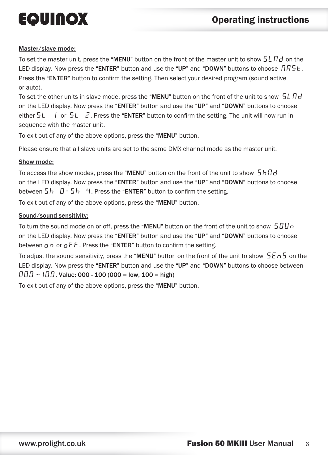#### Master/slave mode:

To set the master unit, press the "MENU" button on the front of the master unit to show  $5L \ddot{H}d$  on the LED display. Now press the "ENTER" button and use the "UP" and "DOWN" buttons to choose  $\iint B5E$ . Press the "ENTER" button to confirm the setting. Then select your desired program (sound active or auto).

To set the other units in slave mode, press the "MENU" button on the front of the unit to show  $5L \ddot{\eta} d$ on the LED display. Now press the "ENTER" button and use the "UP" and "DOWN" buttons to choose either  $5L$  1 or  $5L$   $\overline{c}$ . Press the "ENTER" button to confirm the setting. The unit will now run in sequence with the master unit.

To exit out of any of the above options, press the "MENU" button.

Please ensure that all slave units are set to the same DMX channel mode as the master unit.

#### Show mode:

To access the show modes, press the "MENU" button on the front of the unit to show  $5h\eta d$ on the LED display. Now press the "ENTER" button and use the "UP" and "DOWN" buttons to choose between  $5h$   $0-5h$   $4.$  Press the "ENTER" button to confirm the setting.

To exit out of any of the above options, press the "MENU" button.

#### Sound/sound sensitivity:

To turn the sound mode on or off, press the "MENU" button on the front of the unit to show  $\frac{10}{10}$ on the LED display. Now press the "ENTER" button and use the "UP" and "DOWN" buttons to choose between  $\rho \rho$  or  $\rho$  F F. Press the "ENTER" button to confirm the setting.

To adjust the sound sensitivity, press the "MENU" button on the front of the unit to show  $5E-5$  on the LED display. Now press the "ENTER" button and use the "UP" and "DOWN" buttons to choose between  $\Box$  $\Box$  $\Box$  $\Box$  $\Box$ . Value: 000 - 100 (000 = low, 100 = high)

To exit out of any of the above options, press the "MENU" button.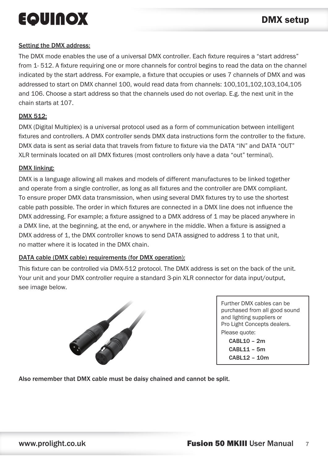#### Setting the DMX address:

The DMX mode enables the use of a universal DMX controller. Each fixture requires a "start address" from 1- 512. A fixture requiring one or more channels for control begins to read the data on the channel indicated by the start address. For example, a fixture that occupies or uses 7 channels of DMX and was addressed to start on DMX channel 100, would read data from channels: 100,101,102,103,104,105 and 106. Choose a start address so that the channels used do not overlap. E.g. the next unit in the chain starts at 107.

#### DMX 512:

DMX (Digital Multiplex) is a universal protocol used as a form of communication between intelligent fixtures and controllers. A DMX controller sends DMX data instructions form the controller to the fixture. DMX data is sent as serial data that travels from fixture to fixture via the DATA "IN" and DATA "OUT" XLR terminals located on all DMX fixtures (most controllers only have a data "out" terminal).

#### DMX linking:

DMX is a language allowing all makes and models of different manufactures to be linked together and operate from a single controller, as long as all fixtures and the controller are DMX compliant. To ensure proper DMX data transmission, when using several DMX fixtures try to use the shortest cable path possible. The order in which fixtures are connected in a DMX line does not influence the DMX addressing. For example; a fixture assigned to a DMX address of 1 may be placed anywhere in a DMX line, at the beginning, at the end, or anywhere in the middle. When a fixture is assigned a DMX address of 1, the DMX controller knows to send DATA assigned to address 1 to that unit, no matter where it is located in the DMX chain.

#### DATA cable (DMX cable) requirements (for DMX operation):

This fixture can be controlled via DMX-512 protocol. The DMX address is set on the back of the unit. Your unit and your DMX controller require a standard 3-pin XLR connector for data input/output, see image below.



Further DMX cables can be purchased from all good sound and lighting suppliers or Pro Light Concepts dealers. Please quote: CABL10 – 2m CABL11 – 5m CABL12 – 10m

Also remember that DMX cable must be daisy chained and cannot be split.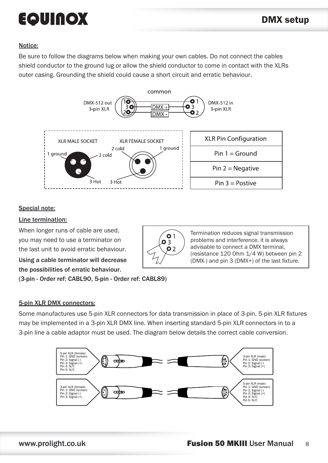#### Notice:

Be sure to follow the diagrams below when making your own cables. Do not connect the cables shield conductor to the ground lug or allow the shield conductor to come in contact with the XLRs outer casing. Grounding the shield could cause a short circuit and erratic behaviour.



#### Special note:

#### Line termination:

When longer runs of cable are used, you may need to use a terminator on the last unit to avoid erratic behaviour. Using a cable terminator will decrease the possibilities of erratic behaviour.



Termination reduces signal transmission problems and interference. it is always advisable to connect a DMX terminal, (resistance 120 Ohm 1/4 W) between pin 2 (DMX-) and pin 3 (DMX+) of the last fixture.

(3-pin - Order ref: CABL9O, 5-pin - Order ref: CABL89)

#### 5-pin XLR DMX connectors:

Some manufactures use 5-pin XLR connectors for data transmission in place of 3-pin. 5-pin XLR fixtures may be implemented in a 3-pin XLR DMX line. When inserting standard 5-pin XLR connectors in to a 3-pin line a cable adaptor must be used. The diagram below details the correct cable conversion.

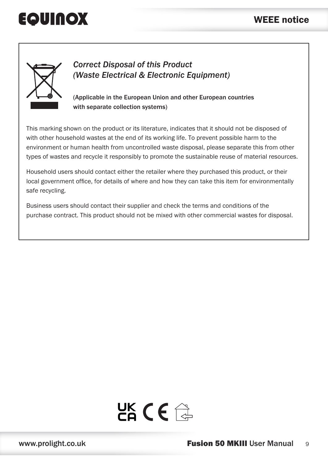### WEEE notice



*Correct Disposal of this Product (Waste Electrical & Electronic Equipment)*

(Applicable in the European Union and other European countries with separate collection systems)

This marking shown on the product or its literature, indicates that it should not be disposed of with other household wastes at the end of its working life. To prevent possible harm to the environment or human health from uncontrolled waste disposal, please separate this from other types of wastes and recycle it responsibly to promote the sustainable reuse of material resources.

Household users should contact either the retailer where they purchased this product, or their local government office, for details of where and how they can take this item for environmentally safe recycling.

Business users should contact their supplier and check the terms and conditions of the purchase contract. This product should not be mixed with other commercial wastes for disposal.